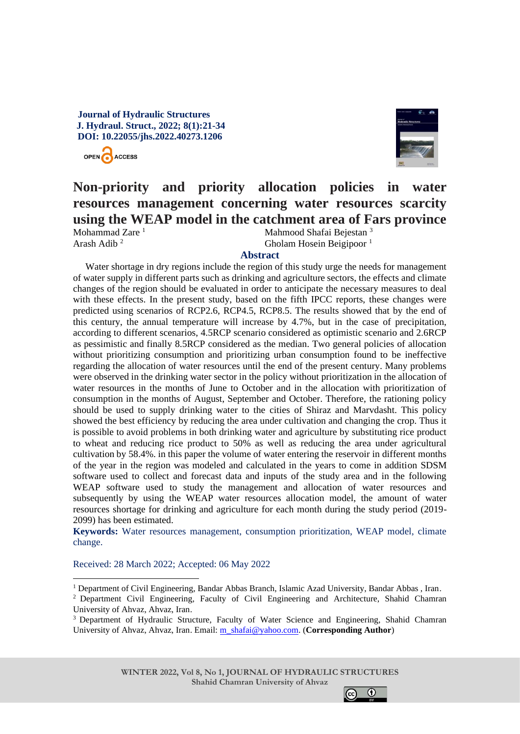# **Journal of Hydraulic Structures J. Hydraul. Struct., 2022; 8(1):21-34 DOI: 10.22055/jhs.2022.40273.1206**





# **Non-priority and priority allocation policies in water resources management concerning water resources scarcity using the WEAP model in the catchment area of Fars province**

Mohammad Zare $<sup>1</sup>$ </sup> Arash Adib <sup>2</sup>

Mahmood Shafai Bejestan <sup>3</sup> Gholam Hosein Beigipoor<sup>1</sup>

## **Abstract**

Water shortage in dry regions include the region of this study urge the needs for management of water supply in different parts such as drinking and agriculture sectors, the effects and climate changes of the region should be evaluated in order to anticipate the necessary measures to deal with these effects. In the present study, based on the fifth IPCC reports, these changes were predicted using scenarios of RCP2.6, RCP4.5, RCP8.5. The results showed that by the end of this century, the annual temperature will increase by 4.7%, but in the case of precipitation, according to different scenarios, 4.5RCP scenario considered as optimistic scenario and 2.6RCP as pessimistic and finally 8.5RCP considered as the median. Two general policies of allocation without prioritizing consumption and prioritizing urban consumption found to be ineffective regarding the allocation of water resources until the end of the present century. Many problems were observed in the drinking water sector in the policy without prioritization in the allocation of water resources in the months of June to October and in the allocation with prioritization of consumption in the months of August, September and October. Therefore, the rationing policy should be used to supply drinking water to the cities of Shiraz and Marvdasht. This policy showed the best efficiency by reducing the area under cultivation and changing the crop. Thus it is possible to avoid problems in both drinking water and agriculture by substituting rice product to wheat and reducing rice product to 50% as well as reducing the area under agricultural cultivation by 58.4%. in this paper the volume of water entering the reservoir in different months of the year in the region was modeled and calculated in the years to come in addition SDSM software used to collect and forecast data and inputs of the study area and in the following WEAP software used to study the management and allocation of water resources and subsequently by using the WEAP water resources allocation model, the amount of water resources shortage for drinking and agriculture for each month during the study period (2019- 2099) has been estimated.

**Keywords:** Water resources management, consumption prioritization, WEAP model, climate change.

Received: 28 March 2022; Accepted: 06 May 2022



<sup>&</sup>lt;sup>1</sup> Department of Civil Engineering, Bandar Abbas Branch, Islamic Azad University, Bandar Abbas , Iran.

<sup>2</sup> Department Civil Engineering, Faculty of Civil Engineering and Architecture, Shahid Chamran University of Ahvaz, Ahvaz, Iran.

<sup>&</sup>lt;sup>3</sup> Department of Hydraulic Structure, Faculty of Water Science and Engineering, Shahid Chamran University of Ahvaz, Ahvaz, Iran. Email[: m\\_shafai@yahoo.com.](mailto:m_shafai@yahoo.com) (**Corresponding Author**)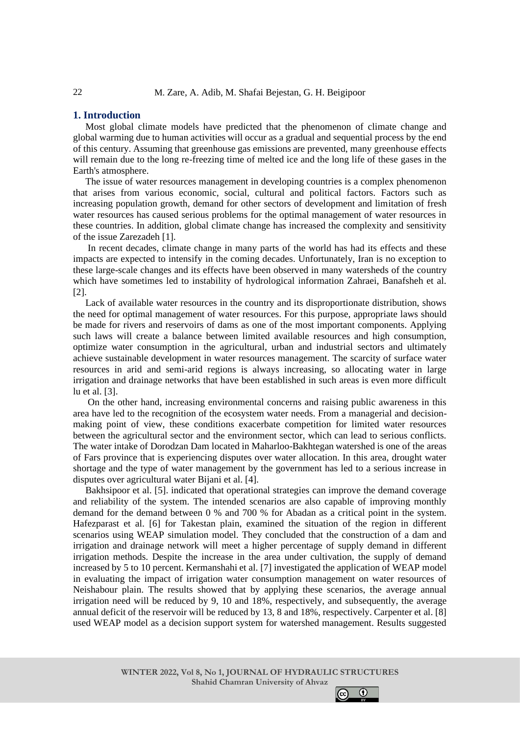## **1. Introduction**

Most global climate models have predicted that the phenomenon of climate change and global warming due to human activities will occur as a gradual and sequential process by the end of this century. Assuming that greenhouse gas emissions are prevented, many greenhouse effects will remain due to the long re-freezing time of melted ice and the long life of these gases in the Earth's atmosphere.

The issue of water resources management in developing countries is a complex phenomenon that arises from various economic, social, cultural and political factors. Factors such as increasing population growth, demand for other sectors of development and limitation of fresh water resources has caused serious problems for the optimal management of water resources in these countries. In addition, global climate change has increased the complexity and sensitivity of the issue Zarezadeh [1].

In recent decades, climate change in many parts of the world has had its effects and these impacts are expected to intensify in the coming decades. Unfortunately, Iran is no exception to these large-scale changes and its effects have been observed in many watersheds of the country which have sometimes led to instability of hydrological information Zahraei, Banafsheh et al. [2].

Lack of available water resources in the country and its disproportionate distribution, shows the need for optimal management of water resources. For this purpose, appropriate laws should be made for rivers and reservoirs of dams as one of the most important components. Applying such laws will create a balance between limited available resources and high consumption, optimize water consumption in the agricultural, urban and industrial sectors and ultimately achieve sustainable development in water resources management. The scarcity of surface water resources in arid and semi-arid regions is always increasing, so allocating water in large irrigation and drainage networks that have been established in such areas is even more difficult lu et al. [3].

On the other hand, increasing environmental concerns and raising public awareness in this area have led to the recognition of the ecosystem water needs. From a managerial and decisionmaking point of view, these conditions exacerbate competition for limited water resources between the agricultural sector and the environment sector, which can lead to serious conflicts. The water intake of Dorodzan Dam located in Maharloo-Bakhtegan watershed is one of the areas of Fars province that is experiencing disputes over water allocation. In this area, drought water shortage and the type of water management by the government has led to a serious increase in disputes over agricultural water Bijani et al. [4].

Bakhsipoor et al. [5]. indicated that operational strategies can improve the demand coverage and reliability of the system. The intended scenarios are also capable of improving monthly demand for the demand between 0 % and 700 % for Abadan as a critical point in the system. Hafezparast et al. [6] for Takestan plain, examined the situation of the region in different scenarios using WEAP simulation model. They concluded that the construction of a dam and irrigation and drainage network will meet a higher percentage of supply demand in different irrigation methods. Despite the increase in the area under cultivation, the supply of demand increased by 5 to 10 percent. Kermanshahi et al. [7] investigated the application of WEAP model in evaluating the impact of irrigation water consumption management on water resources of Neishabour plain. The results showed that by applying these scenarios, the average annual irrigation need will be reduced by 9, 10 and 18%, respectively, and subsequently, the average annual deficit of the reservoir will be reduced by 13, 8 and 18%, respectively. Carpenter et al. [8] used WEAP model as a decision support system for watershed management. Results suggested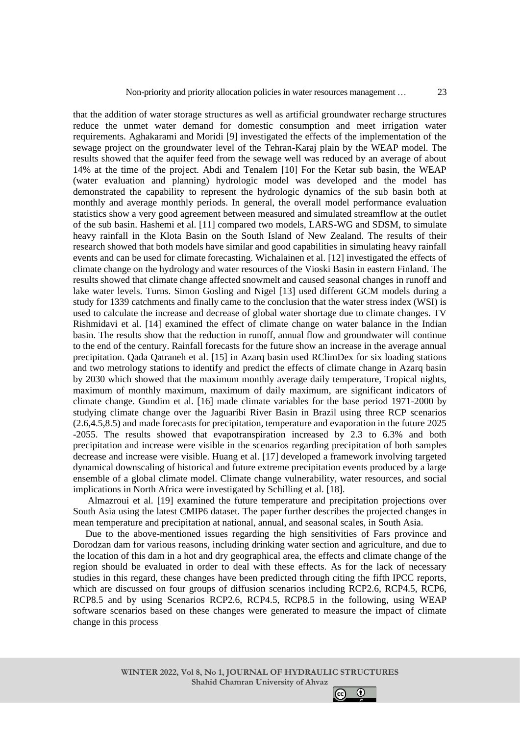that the addition of water storage structures as well as artificial groundwater recharge structures reduce the unmet water demand for domestic consumption and meet irrigation water requirements. Aghakarami and Moridi [9] investigated the effects of the implementation of the sewage project on the groundwater level of the Tehran-Karaj plain by the WEAP model. The results showed that the aquifer feed from the sewage well was reduced by an average of about 14% at the time of the project. Abdi and Tenalem [10] For the Ketar sub basin, the WEAP (water evaluation and planning) hydrologic model was developed and the model has demonstrated the capability to represent the hydrologic dynamics of the sub basin both at monthly and average monthly periods. In general, the overall model performance evaluation statistics show a very good agreement between measured and simulated streamflow at the outlet of the sub basin. Hashemi et al. [11] compared two models, LARS-WG and SDSM, to simulate heavy rainfall in the Klota Basin on the South Island of New Zealand. The results of their research showed that both models have similar and good capabilities in simulating heavy rainfall events and can be used for climate forecasting. Wichalainen et al. [12] investigated the effects of climate change on the hydrology and water resources of the Vioski Basin in eastern Finland. The results showed that climate change affected snowmelt and caused seasonal changes in runoff and lake water levels. Turns. Simon Gosling and Nigel [13] used different GCM models during a study for 1339 catchments and finally came to the conclusion that the water stress index (WSI) is used to calculate the increase and decrease of global water shortage due to climate changes. TV Rishmidavi et al. [14] examined the effect of climate change on water balance in the Indian basin. The results show that the reduction in runoff, annual flow and groundwater will continue to the end of the century. Rainfall forecasts for the future show an increase in the average annual precipitation. Qada Qatraneh et al. [15] in Azarq basin used RClimDex for six loading stations and two metrology stations to identify and predict the effects of climate change in Azarq basin by 2030 which showed that the maximum monthly average daily temperature, Tropical nights, maximum of monthly maximum, maximum of daily maximum, are significant indicators of climate change. Gundim et al. [16] made climate variables for the base period 1971-2000 by studying climate change over the Jaguaribi River Basin in Brazil using three RCP scenarios (2.6,4.5,8.5) and made forecasts for precipitation, temperature and evaporation in the future 2025 -2055. The results showed that evapotranspiration increased by 2.3 to 6.3% and both precipitation and increase were visible in the scenarios regarding precipitation of both samples decrease and increase were visible. Huang et al. [17] developed a framework involving targeted dynamical downscaling of historical and future extreme precipitation events produced by a large ensemble of a global climate model. Climate change vulnerability, water resources, and social implications in North Africa were investigated by Schilling et al. [18].

Almazroui et al. [19] examined the future temperature and precipitation projections over South Asia using the latest CMIP6 dataset. The paper further describes the projected changes in mean temperature and precipitation at national, annual, and seasonal scales, in South Asia.

Due to the above-mentioned issues regarding the high sensitivities of Fars province and Dorodzan dam for various reasons, including drinking water section and agriculture, and due to the location of this dam in a hot and dry geographical area, the effects and climate change of the region should be evaluated in order to deal with these effects. As for the lack of necessary studies in this regard, these changes have been predicted through citing the fifth IPCC reports, which are discussed on four groups of diffusion scenarios including RCP2.6, RCP4.5, RCP6, RCP8.5 and by using Scenarios RCP2.6, RCP4.5, RCP8.5 in the following, using WEAP software scenarios based on these changes were generated to measure the impact of climate change in this process

> **WINTER 2022, Vol 8, No 1, JOURNAL OF HYDRAULIC STRUCTURES Shahid Chamran University of Ahvaz**

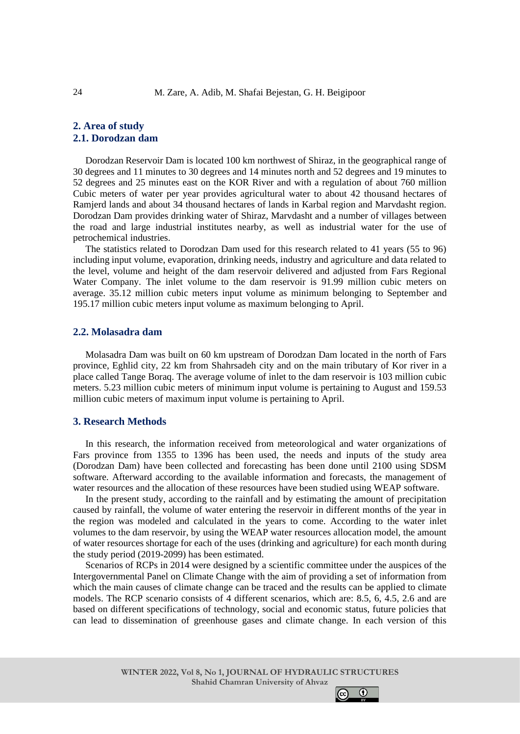# **2. Area of study 2.1. Dorodzan dam**

Dorodzan Reservoir Dam is located 100 km northwest of Shiraz, in the geographical range of 30 degrees and 11 minutes to 30 degrees and 14 minutes north and 52 degrees and 19 minutes to 52 degrees and 25 minutes east on the KOR River and with a regulation of about 760 million Cubic meters of water per year provides agricultural water to about 42 thousand hectares of Ramjerd lands and about 34 thousand hectares of lands in Karbal region and Marvdasht region. Dorodzan Dam provides drinking water of Shiraz, Marvdasht and a number of villages between the road and large industrial institutes nearby, as well as industrial water for the use of petrochemical industries.

The statistics related to Dorodzan Dam used for this research related to 41 years (55 to 96) including input volume, evaporation, drinking needs, industry and agriculture and data related to the level, volume and height of the dam reservoir delivered and adjusted from Fars Regional Water Company. The inlet volume to the dam reservoir is 91.99 million cubic meters on average. 35.12 million cubic meters input volume as minimum belonging to September and 195.17 million cubic meters input volume as maximum belonging to April.

## **2.2. Molasadra dam**

Molasadra Dam was built on 60 km upstream of Dorodzan Dam located in the north of Fars province, Eghlid city, 22 km from Shahrsadeh city and on the main tributary of Kor river in a place called Tange Boraq. The average volume of inlet to the dam reservoir is 103 million cubic meters. 5.23 million cubic meters of minimum input volume is pertaining to August and 159.53 million cubic meters of maximum input volume is pertaining to April.

## **3. Research Methods**

In this research, the information received from meteorological and water organizations of Fars province from 1355 to 1396 has been used, the needs and inputs of the study area (Dorodzan Dam) have been collected and forecasting has been done until 2100 using SDSM software. Afterward according to the available information and forecasts, the management of water resources and the allocation of these resources have been studied using WEAP software.

In the present study, according to the rainfall and by estimating the amount of precipitation caused by rainfall, the volume of water entering the reservoir in different months of the year in the region was modeled and calculated in the years to come. According to the water inlet volumes to the dam reservoir, by using the WEAP water resources allocation model, the amount of water resources shortage for each of the uses (drinking and agriculture) for each month during the study period (2019-2099) has been estimated.

Scenarios of RCPs in 2014 were designed by a scientific committee under the auspices of the Intergovernmental Panel on Climate Change with the aim of providing a set of information from which the main causes of climate change can be traced and the results can be applied to climate models. The RCP scenario consists of 4 different scenarios, which are: 8.5, 6, 4.5, 2.6 and are based on different specifications of technology, social and economic status, future policies that can lead to dissemination of greenhouse gases and climate change. In each version of this

 $\odot$ 

 $|$  (cc)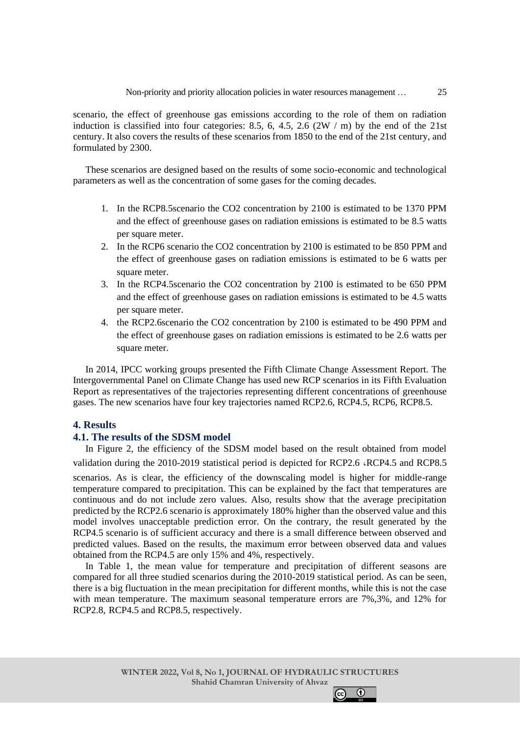#### Non-priority and priority allocation policies in water resources management …

scenario, the effect of greenhouse gas emissions according to the role of them on radiation induction is classified into four categories: 8.5, 6, 4.5, 2.6  $(2W / m)$  by the end of the 21st century. It also covers the results of these scenarios from 1850 to the end of the 21st century, and formulated by 2300.

These scenarios are designed based on the results of some socio-economic and technological parameters as well as the concentration of some gases for the coming decades.

- 1. In the RCP8.5scenario the CO2 concentration by 2100 is estimated to be 1370 PPM and the effect of greenhouse gases on radiation emissions is estimated to be 8.5 watts per square meter.
- 2. In the RCP6 scenario the CO2 concentration by 2100 is estimated to be 850 PPM and the effect of greenhouse gases on radiation emissions is estimated to be 6 watts per square meter.
- 3. In the RCP4.5scenario the CO2 concentration by 2100 is estimated to be 650 PPM and the effect of greenhouse gases on radiation emissions is estimated to be 4.5 watts per square meter.
- 4. the RCP2.6scenario the CO2 concentration by 2100 is estimated to be 490 PPM and the effect of greenhouse gases on radiation emissions is estimated to be 2.6 watts per square meter.

In 2014, IPCC working groups presented the Fifth Climate Change Assessment Report. The Intergovernmental Panel on Climate Change has used new RCP scenarios in its Fifth Evaluation Report as representatives of the trajectories representing different concentrations of greenhouse gases. The new scenarios have four key trajectories named RCP2.6, RCP4.5, RCP6, RCP8.5.

## **4. Results**

#### **4.1. The results of the SDSM model**

In Figure 2, the efficiency of the SDSM model based on the result obtained from model validation during the 2010-2019 statistical period is depicted for RCP2.6 ،RCP4.5 and RCP8.5

scenarios. As is clear, the efficiency of the downscaling model is higher for middle-range temperature compared to precipitation. This can be explained by the fact that temperatures are continuous and do not include zero values. Also, results show that the average precipitation predicted by the RCP2.6 scenario is approximately 180% higher than the observed value and this model involves unacceptable prediction error. On the contrary, the result generated by the RCP4.5 scenario is of sufficient accuracy and there is a small difference between observed and predicted values. Based on the results, the maximum error between observed data and values obtained from the RCP4.5 are only 15% and 4%, respectively.

In Table 1, the mean value for temperature and precipitation of different seasons are compared for all three studied scenarios during the 2010-2019 statistical period. As can be seen, there is a big fluctuation in the mean precipitation for different months, while this is not the case with mean temperature. The maximum seasonal temperature errors are 7%,3%, and 12% for RCP2.8, RCP4.5 and RCP8.5, respectively.

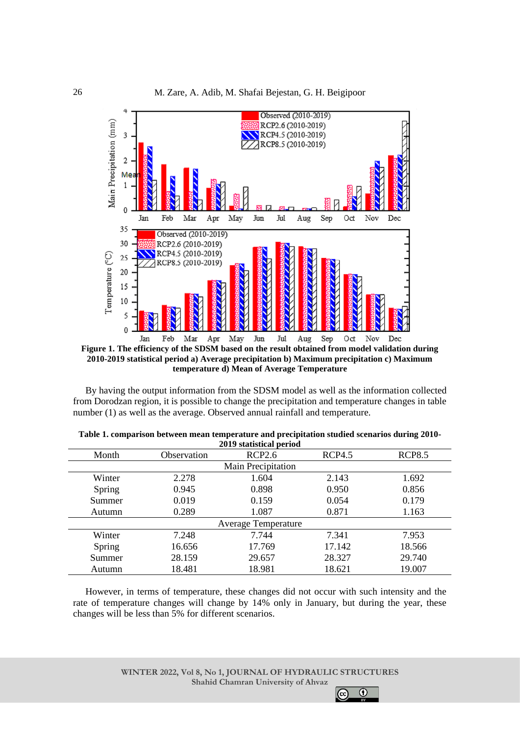

By having the output information from the SDSM model as well as the information collected from Dorodzan region, it is possible to change the precipitation and temperature changes in table number (1) as well as the average. Observed annual rainfall and temperature.

| 2019 statistical defioti   |             |                    |               |               |  |  |
|----------------------------|-------------|--------------------|---------------|---------------|--|--|
| Month                      | Observation | <b>RCP2.6</b>      | <b>RCP4.5</b> | <b>RCP8.5</b> |  |  |
|                            |             | Main Precipitation |               |               |  |  |
| Winter                     | 2.278       | 1.604              | 2.143         | 1.692         |  |  |
| Spring                     | 0.945       | 0.898              | 0.950         | 0.856         |  |  |
| Summer                     | 0.019       | 0.159              | 0.054         | 0.179         |  |  |
| Autumn                     | 0.289       | 1.087              | 0.871         | 1.163         |  |  |
| <b>Average Temperature</b> |             |                    |               |               |  |  |
| Winter                     | 7.248       | 7.744              | 7.341         | 7.953         |  |  |
| Spring                     | 16.656      | 17.769             | 17.142        | 18.566        |  |  |
| Summer                     | 28.159      | 29.657             | 28.327        | 29.740        |  |  |
| Autumn                     | 18.481      | 18.981             | 18.621        | 19.007        |  |  |

| Table 1. comparison between mean temperature and precipitation studied scenarios during 2010- |                         |  |
|-----------------------------------------------------------------------------------------------|-------------------------|--|
|                                                                                               | 2019 statistical period |  |

However, in terms of temperature, these changes did not occur with such intensity and the rate of temperature changes will change by 14% only in January, but during the year, these changes will be less than 5% for different scenarios.

 $\odot$ 

 $|$ (cc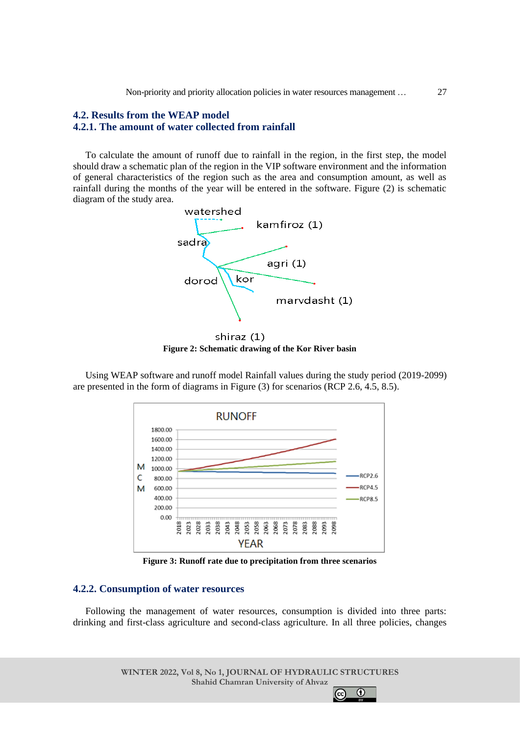Non-priority and priority allocation policies in water resources management …

# **4.2. Results from the WEAP model 4.2.1. The amount of water collected from rainfall**

To calculate the amount of runoff due to rainfall in the region, in the first step, the model should draw a schematic plan of the region in the VIP software environment and the information of general characteristics of the region such as the area and consumption amount, as well as rainfall during the months of the year will be entered in the software. Figure (2) is schematic diagram of the study area.



shiraz (1) **Figure 2: Schematic drawing of the Kor River basin**

Using WEAP software and runoff model Rainfall values during the study period (2019-2099) are presented in the form of diagrams in Figure (3) for scenarios (RCP 2.6, 4.5, 8.5).



**Figure 3: Runoff rate due to precipitation from three scenarios**

## **4.2.2. Consumption of water resources**

Following the management of water resources, consumption is divided into three parts: drinking and first-class agriculture and second-class agriculture. In all three policies, changes

> **WINTER 2022, Vol 8, No 1, JOURNAL OF HYDRAULIC STRUCTURES Shahid Chamran University of Ahvaz**

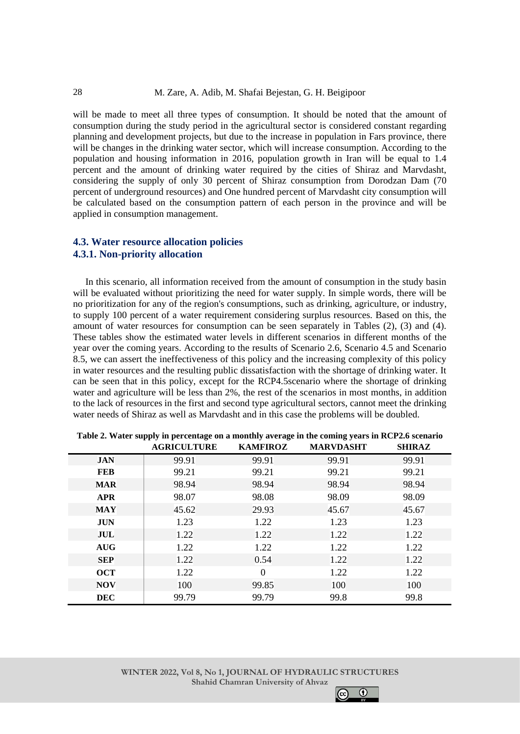will be made to meet all three types of consumption. It should be noted that the amount of consumption during the study period in the agricultural sector is considered constant regarding planning and development projects, but due to the increase in population in Fars province, there will be changes in the drinking water sector, which will increase consumption. According to the population and housing information in 2016, population growth in Iran will be equal to 1.4 percent and the amount of drinking water required by the cities of Shiraz and Marvdasht, considering the supply of only 30 percent of Shiraz consumption from Dorodzan Dam (70 percent of underground resources) and One hundred percent of Marvdasht city consumption will be calculated based on the consumption pattern of each person in the province and will be applied in consumption management.

# **4.3. Water resource allocation policies 4.3.1. Non-priority allocation**

In this scenario, all information received from the amount of consumption in the study basin will be evaluated without prioritizing the need for water supply. In simple words, there will be no prioritization for any of the region's consumptions, such as drinking, agriculture, or industry, to supply 100 percent of a water requirement considering surplus resources. Based on this, the amount of water resources for consumption can be seen separately in Tables (2), (3) and (4). These tables show the estimated water levels in different scenarios in different months of the year over the coming years. According to the results of Scenario 2.6, Scenario 4.5 and Scenario 8.5, we can assert the ineffectiveness of this policy and the increasing complexity of this policy in water resources and the resulting public dissatisfaction with the shortage of drinking water. It can be seen that in this policy, except for the RCP4.5scenario where the shortage of drinking water and agriculture will be less than 2%, the rest of the scenarios in most months, in addition to the lack of resources in the first and second type agricultural sectors, cannot meet the drinking water needs of Shiraz as well as Marvdasht and in this case the problems will be doubled.

|            | <b>AGRICULTURE</b> | $\sim$ $\sim$ $\sim$<br><b>KAMFIROZ</b> | <b>MARVDASHT</b> | <b>SHIRAZ</b> |
|------------|--------------------|-----------------------------------------|------------------|---------------|
| <b>JAN</b> | 99.91              | 99.91                                   | 99.91            | 99.91         |
| <b>FEB</b> | 99.21              | 99.21                                   | 99.21            | 99.21         |
| <b>MAR</b> | 98.94              | 98.94                                   | 98.94            | 98.94         |
| <b>APR</b> | 98.07              | 98.08                                   | 98.09            | 98.09         |
| <b>MAY</b> | 45.62              | 29.93                                   | 45.67            | 45.67         |
| <b>JUN</b> | 1.23               | 1.22                                    | 1.23             | 1.23          |
| JUL        | 1.22               | 1.22                                    | 1.22             | 1.22          |
| <b>AUG</b> | 1.22               | 1.22                                    | 1.22             | 1.22          |
| <b>SEP</b> | 1.22               | 0.54                                    | 1.22             | 1.22          |
| <b>OCT</b> | 1.22               | $\Omega$                                | 1.22             | 1.22          |
| <b>NOV</b> | 100                | 99.85                                   | 100              | 100           |
| <b>DEC</b> | 99.79              | 99.79                                   | 99.8             | 99.8          |

| Table 2. Water supply in percentage on a monthly average in the coming years in RCP2.6 scenario |  |
|-------------------------------------------------------------------------------------------------|--|
|-------------------------------------------------------------------------------------------------|--|

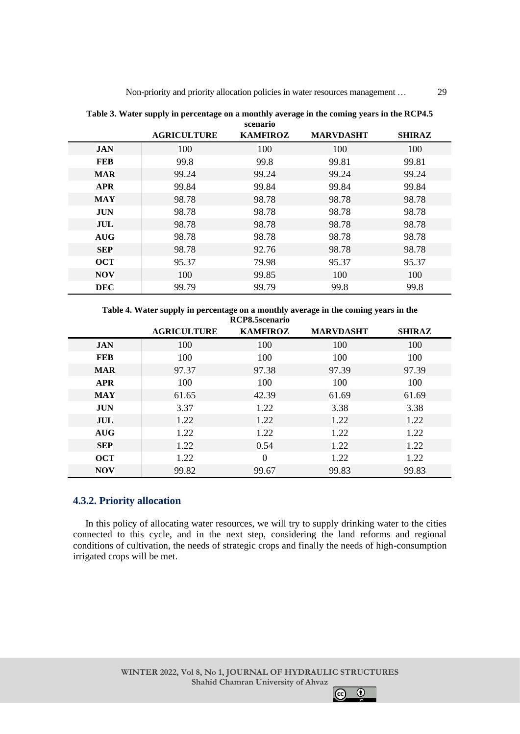|            | <b>AGRICULTURE</b> | <b>KAMFIROZ</b> | <b>MARVDASHT</b> | <b>SHIRAZ</b> |
|------------|--------------------|-----------------|------------------|---------------|
| <b>JAN</b> | 100                | 100             | 100              | 100           |
| <b>FEB</b> | 99.8               | 99.8            | 99.81            | 99.81         |
| <b>MAR</b> | 99.24              | 99.24           | 99.24            | 99.24         |
| <b>APR</b> | 99.84              | 99.84           | 99.84            | 99.84         |
| <b>MAY</b> | 98.78              | 98.78           | 98.78            | 98.78         |
| <b>JUN</b> | 98.78              | 98.78           | 98.78            | 98.78         |
| JUL        | 98.78              | 98.78           | 98.78            | 98.78         |
| <b>AUG</b> | 98.78              | 98.78           | 98.78            | 98.78         |
| <b>SEP</b> | 98.78              | 92.76           | 98.78            | 98.78         |
| <b>OCT</b> | 95.37              | 79.98           | 95.37            | 95.37         |
| <b>NOV</b> | 100                | 99.85           | 100              | 100           |
| <b>DEC</b> | 99.79              | 99.79           | 99.8             | 99.8          |

**Table 3. Water supply in percentage on a monthly average in the coming years in the RCP4.5 scenario**

**Table 4. Water supply in percentage on a monthly average in the coming years in the RCP8.5scenario**

|            | <b>AGRICULTURE</b> | <b>KAMFIROZ</b> | <b>MARVDASHT</b> | <b>SHIRAZ</b> |
|------------|--------------------|-----------------|------------------|---------------|
| <b>JAN</b> | 100                | 100             | 100              | 100           |
| <b>FEB</b> | 100                | 100             | 100              | 100           |
| <b>MAR</b> | 97.37              | 97.38           | 97.39            | 97.39         |
| <b>APR</b> | 100                | 100             | 100              | 100           |
| <b>MAY</b> | 61.65              | 42.39           | 61.69            | 61.69         |
| <b>JUN</b> | 3.37               | 1.22            | 3.38             | 3.38          |
| JUL        | 1.22               | 1.22            | 1.22             | 1.22          |
| <b>AUG</b> | 1.22               | 1.22            | 1.22             | 1.22          |
| <b>SEP</b> | 1.22               | 0.54            | 1.22             | 1.22          |
| <b>OCT</b> | 1.22               | $\Omega$        | 1.22             | 1.22          |
| <b>NOV</b> | 99.82              | 99.67           | 99.83            | 99.83         |

# **4.3.2. Priority allocation**

In this policy of allocating water resources, we will try to supply drinking water to the cities connected to this cycle, and in the next step, considering the land reforms and regional conditions of cultivation, the needs of strategic crops and finally the needs of high-consumption irrigated crops will be met.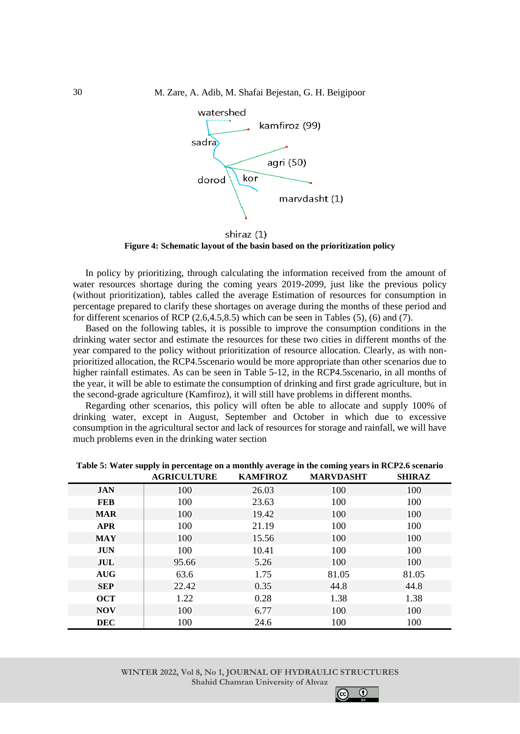

shiraz (1) **Figure 4: Schematic layout of the basin based on the prioritization policy**

In policy by prioritizing, through calculating the information received from the amount of water resources shortage during the coming years 2019-2099, just like the previous policy (without prioritization), tables called the average Estimation of resources for consumption in percentage prepared to clarify these shortages on average during the months of these period and for different scenarios of RCP  $(2.6, 4.5, 8.5)$  which can be seen in Tables  $(5)$ ,  $(6)$  and  $(7)$ .

Based on the following tables, it is possible to improve the consumption conditions in the drinking water sector and estimate the resources for these two cities in different months of the year compared to the policy without prioritization of resource allocation. Clearly, as with nonprioritized allocation, the RCP4.5scenario would be more appropriate than other scenarios due to higher rainfall estimates. As can be seen in Table 5-12, in the RCP4.5 scenario, in all months of the year, it will be able to estimate the consumption of drinking and first grade agriculture, but in the second-grade agriculture (Kamfiroz), it will still have problems in different months.

Regarding other scenarios, this policy will often be able to allocate and supply 100% of drinking water, except in August, September and October in which due to excessive consumption in the agricultural sector and lack of resources for storage and rainfall, we will have much problems even in the drinking water section

|            | <b>AGRICULTURE</b> | <b>KAMFIROZ</b> | <b>MARVDASHT</b> | <b>SHIRAZ</b> |
|------------|--------------------|-----------------|------------------|---------------|
| <b>JAN</b> | 100                | 26.03           | 100              | 100           |
| <b>FEB</b> | 100                | 23.63           | 100              | 100           |
| <b>MAR</b> | 100                | 19.42           | 100              | 100           |
| <b>APR</b> | 100                | 21.19           | 100              | 100           |
| <b>MAY</b> | 100                | 15.56           | 100              | 100           |
| <b>JUN</b> | 100                | 10.41           | 100              | 100           |
| JUL        | 95.66              | 5.26            | 100              | 100           |
| <b>AUG</b> | 63.6               | 1.75            | 81.05            | 81.05         |
| <b>SEP</b> | 22.42              | 0.35            | 44.8             | 44.8          |
| <b>OCT</b> | 1.22               | 0.28            | 1.38             | 1.38          |
| <b>NOV</b> | 100                | 6.77            | 100              | 100           |
| <b>DEC</b> | 100                | 24.6            | 100              | 100           |

**Table 5: Water supply in percentage on a monthly average in the coming years in RCP2.6 scenario**

 $\odot$ 

 $|_{\rm fcc}$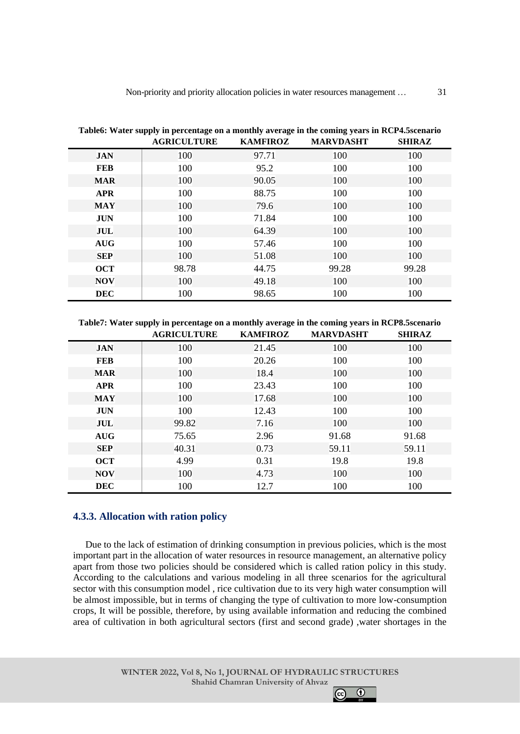|            | Tableo. Water supply in percentage on a monthly average in the coming years in KCI 4.5SCCharlo<br><b>AGRICULTURE</b> | <b>KAMFIROZ</b> | <b>MARVDASHT</b> | <b>SHIRAZ</b> |
|------------|----------------------------------------------------------------------------------------------------------------------|-----------------|------------------|---------------|
| <b>JAN</b> | 100                                                                                                                  | 97.71           | 100              | 100           |
| <b>FEB</b> | 100                                                                                                                  | 95.2            | 100              | 100           |
| <b>MAR</b> | 100                                                                                                                  | 90.05           | 100              | 100           |
| <b>APR</b> | 100                                                                                                                  | 88.75           | 100              | 100           |
| <b>MAY</b> | 100                                                                                                                  | 79.6            | 100              | 100           |
| <b>JUN</b> | 100                                                                                                                  | 71.84           | 100              | 100           |
| JUL        | 100                                                                                                                  | 64.39           | 100              | 100           |
| <b>AUG</b> | 100                                                                                                                  | 57.46           | 100              | 100           |
| <b>SEP</b> | 100                                                                                                                  | 51.08           | 100              | 100           |
| <b>OCT</b> | 98.78                                                                                                                | 44.75           | 99.28            | 99.28         |
| <b>NOV</b> | 100                                                                                                                  | 49.18           | 100              | 100           |
| <b>DEC</b> | 100                                                                                                                  | 98.65           | 100              | 100           |

**Table6: Water supply in percentage on a monthly average in the coming years in RCP4.5scenario**

**Table7: Water supply in percentage on a monthly average in the coming years in RCP8.5scenario**

|            | <b>AGRICULTURE</b> | <b>KAMFIROZ</b> | <b>MARVDASHT</b> | <b>SHIRAZ</b> |
|------------|--------------------|-----------------|------------------|---------------|
| <b>JAN</b> | 100                | 21.45           | 100              | 100           |
| <b>FEB</b> | 100                | 20.26           | 100              | 100           |
| <b>MAR</b> | 100                | 18.4            | 100              | 100           |
| <b>APR</b> | 100                | 23.43           | 100              | 100           |
| <b>MAY</b> | 100                | 17.68           | 100              | 100           |
| <b>JUN</b> | 100                | 12.43           | 100              | 100           |
| JUL        | 99.82              | 7.16            | 100              | 100           |
| <b>AUG</b> | 75.65              | 2.96            | 91.68            | 91.68         |
| <b>SEP</b> | 40.31              | 0.73            | 59.11            | 59.11         |
| <b>OCT</b> | 4.99               | 0.31            | 19.8             | 19.8          |
| <b>NOV</b> | 100                | 4.73            | 100              | 100           |
| <b>DEC</b> | 100                | 12.7            | 100              | 100           |

# **4.3.3. Allocation with ration policy**

Due to the lack of estimation of drinking consumption in previous policies, which is the most important part in the allocation of water resources in resource management, an alternative policy apart from those two policies should be considered which is called ration policy in this study. According to the calculations and various modeling in all three scenarios for the agricultural sector with this consumption model , rice cultivation due to its very high water consumption will be almost impossible, but in terms of changing the type of cultivation to more low-consumption crops, It will be possible, therefore, by using available information and reducing the combined area of cultivation in both agricultural sectors (first and second grade) ,water shortages in the

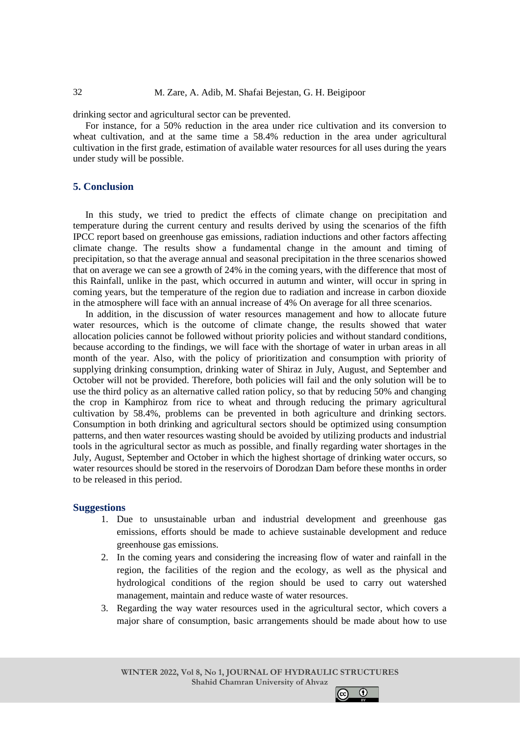drinking sector and agricultural sector can be prevented.

For instance, for a 50% reduction in the area under rice cultivation and its conversion to wheat cultivation, and at the same time a 58.4% reduction in the area under agricultural cultivation in the first grade, estimation of available water resources for all uses during the years under study will be possible.

# **5. Conclusion**

In this study, we tried to predict the effects of climate change on precipitation and temperature during the current century and results derived by using the scenarios of the fifth IPCC report based on greenhouse gas emissions, radiation inductions and other factors affecting climate change. The results show a fundamental change in the amount and timing of precipitation, so that the average annual and seasonal precipitation in the three scenarios showed that on average we can see a growth of 24% in the coming years, with the difference that most of this Rainfall, unlike in the past, which occurred in autumn and winter, will occur in spring in coming years, but the temperature of the region due to radiation and increase in carbon dioxide in the atmosphere will face with an annual increase of 4% On average for all three scenarios.

In addition, in the discussion of water resources management and how to allocate future water resources, which is the outcome of climate change, the results showed that water allocation policies cannot be followed without priority policies and without standard conditions, because according to the findings, we will face with the shortage of water in urban areas in all month of the year. Also, with the policy of prioritization and consumption with priority of supplying drinking consumption, drinking water of Shiraz in July, August, and September and October will not be provided. Therefore, both policies will fail and the only solution will be to use the third policy as an alternative called ration policy, so that by reducing 50% and changing the crop in Kamphiroz from rice to wheat and through reducing the primary agricultural cultivation by 58.4%, problems can be prevented in both agriculture and drinking sectors. Consumption in both drinking and agricultural sectors should be optimized using consumption patterns, and then water resources wasting should be avoided by utilizing products and industrial tools in the agricultural sector as much as possible, and finally regarding water shortages in the July, August, September and October in which the highest shortage of drinking water occurs, so water resources should be stored in the reservoirs of Dorodzan Dam before these months in order to be released in this period.

## **Suggestions**

- 1. Due to unsustainable urban and industrial development and greenhouse gas emissions, efforts should be made to achieve sustainable development and reduce greenhouse gas emissions.
- 2. In the coming years and considering the increasing flow of water and rainfall in the region, the facilities of the region and the ecology, as well as the physical and hydrological conditions of the region should be used to carry out watershed management, maintain and reduce waste of water resources.
- 3. Regarding the way water resources used in the agricultural sector, which covers a major share of consumption, basic arrangements should be made about how to use

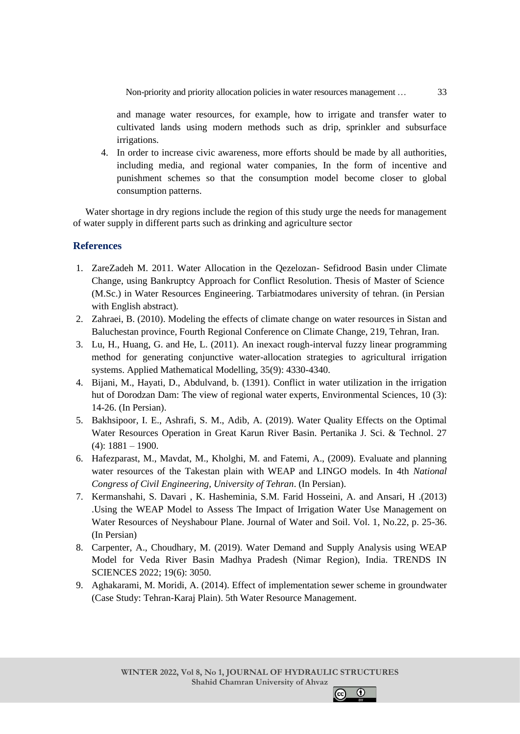Non-priority and priority allocation policies in water resources management …

and manage water resources, for example, how to irrigate and transfer water to cultivated lands using modern methods such as drip, sprinkler and subsurface irrigations.

4. In order to increase civic awareness, more efforts should be made by all authorities, including media, and regional water companies, In the form of incentive and punishment schemes so that the consumption model become closer to global consumption patterns.

Water shortage in dry regions include the region of this study urge the needs for management of water supply in different parts such as drinking and agriculture sector

# **References**

- 1. ZareZadeh M. 2011. Water Allocation in the Qezelozan- Sefidrood Basin under Climate Change, using Bankruptcy Approach for Conflict Resolution. Thesis of Master of Science (M.Sc.) in Water Resources Engineering. Tarbiatmodares university of tehran. (in Persian with English abstract).
- 2. Zahraei, B. (2010). Modeling the effects of climate change on water resources in Sistan and Baluchestan province, Fourth Regional Conference on Climate Change, 219, Tehran, Iran.
- 3. Lu, H., Huang, G. and He, L. (2011). An inexact rough-interval fuzzy linear programming method for generating conjunctive water-allocation strategies to agricultural irrigation systems. Applied Mathematical Modelling, 35(9): 4330-4340.
- 4. Bijani, M., Hayati, D., Abdulvand, b. (1391). Conflict in water utilization in the irrigation hut of Dorodzan Dam: The view of regional water experts, Environmental Sciences, 10 (3): 14-26. (In Persian).
- 5. Bakhsipoor, I. E., Ashrafi, S. M., Adib, A. (2019). Water Quality Effects on the Optimal Water Resources Operation in Great Karun River Basin. Pertanika J. Sci. & Technol. 27  $(4): 1881 - 1900.$
- 6. Hafezparast, M., Mavdat, M., Kholghi, M. and Fatemi, A., (2009). Evaluate and planning water resources of the Takestan plain with WEAP and LINGO models. In 4th *National Congress of Civil Engineering, University of Tehran*. (In Persian).
- 7. Kermanshahi, S. Davari , K. Hasheminia, S.M. Farid Hosseini, A. and Ansari, H .(2013) .Using the WEAP Model to Assess The Impact of Irrigation Water Use Management on Water Resources of Neyshabour Plane. Journal of Water and Soil. Vol. 1, No.22, p. 25-36. (In Persian)
- 8. Carpenter, A., Choudhary, M. (2019). Water Demand and Supply Analysis using WEAP Model for Veda River Basin Madhya Pradesh (Nimar Region), India. TRENDS IN SCIENCES 2022; 19(6): 3050.
- 9. Aghakarami, M. Moridi, A. (2014). Effect of implementation sewer scheme in groundwater (Case Study: Tehran-Karaj Plain). 5th Water Resource Management.